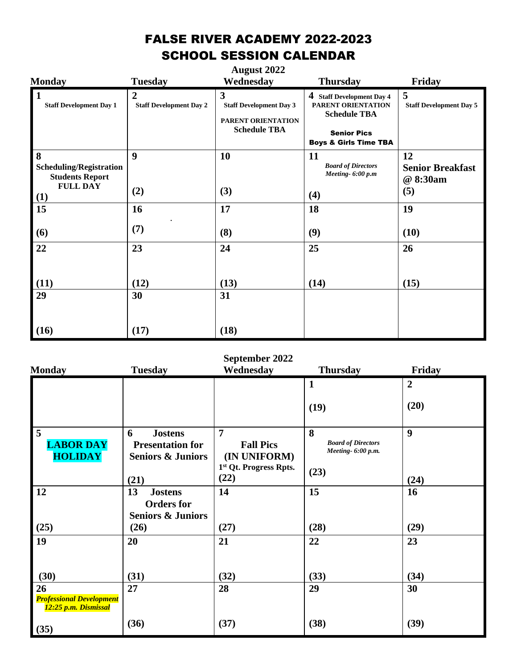## FALSE RIVER ACADEMY 2022-2023 SCHOOL SESSION CALENDAR

| <b>Monday</b>                                                                           | <b>Tuesday</b>                                   | <b>August 2022</b><br>Wednesday                                                                        | <b>Thursday</b>                                                                                                                  | Friday                                           |
|-----------------------------------------------------------------------------------------|--------------------------------------------------|--------------------------------------------------------------------------------------------------------|----------------------------------------------------------------------------------------------------------------------------------|--------------------------------------------------|
| $\vert$ 1<br><b>Staff Development Day 1</b>                                             | $\overline{2}$<br><b>Staff Development Day 2</b> | $\overline{\mathbf{3}}$<br><b>Staff Development Day 3</b><br>PARENT ORIENTATION<br><b>Schedule TBA</b> | 4 Staff Development Day 4<br>PARENT ORIENTATION<br><b>Schedule TBA</b><br><b>Senior Pics</b><br><b>Boys &amp; Girls Time TBA</b> | 5<br><b>Staff Development Day 5</b>              |
| 8<br><b>Scheduling/Registration</b><br><b>Students Report</b><br><b>FULL DAY</b><br>(1) | 9<br>(2)                                         | 10<br>(3)                                                                                              | <b>11</b><br><b>Board of Directors</b><br>Meeting- $6:00 p.m$<br>(4)                                                             | 12<br><b>Senior Breakfast</b><br>@ 8:30am<br>(5) |
| 15                                                                                      | 16                                               | 17                                                                                                     | 18                                                                                                                               | 19                                               |
| (6)                                                                                     | (7)                                              | (8)                                                                                                    | (9)                                                                                                                              | (10)                                             |
| 22                                                                                      | 23                                               | 24                                                                                                     | 25                                                                                                                               | 26                                               |
| (11)<br>29                                                                              | (12)<br>30                                       | (13)<br>31                                                                                             | (14)                                                                                                                             | (15)                                             |
| (16)                                                                                    | (17)                                             | (18)                                                                                                   |                                                                                                                                  |                                                  |

## **September 2022**

| <b>Monday</b>                                                 | <b>Tuesday</b>                                                                         | Wednesday                                                                            | <b>Thursday</b>                                              | Friday                 |
|---------------------------------------------------------------|----------------------------------------------------------------------------------------|--------------------------------------------------------------------------------------|--------------------------------------------------------------|------------------------|
|                                                               |                                                                                        |                                                                                      | $\mathbf{1}$<br>(19)                                         | $\overline{2}$<br>(20) |
| 5<br><b>LABOR DAY</b><br><b>HOLIDAY</b>                       | 6<br><b>Jostens</b><br><b>Presentation for</b><br><b>Seniors &amp; Juniors</b><br>(21) | $\overline{7}$<br><b>Fall Pics</b><br>(IN UNIFORM)<br>1st Qt. Progress Rpts.<br>(22) | 8<br><b>Board of Directors</b><br>Meeting- 6:00 p.m.<br>(23) | 9<br>(24)              |
| 12<br>(25)                                                    | 13<br><b>Jostens</b><br><b>Orders</b> for<br><b>Seniors &amp; Juniors</b><br>(26)      | 14<br>(27)                                                                           | 15<br>(28)                                                   | 16<br>(29)             |
| 19<br>(30)                                                    | 20<br>(31)                                                                             | 21<br>(32)                                                                           | 22<br>(33)                                                   | 23<br>(34)             |
| 26<br><b>Professional Development</b><br>12:25 p.m. Dismissal | 27                                                                                     | 28                                                                                   | 29                                                           | 30                     |
| (35)                                                          | (36)                                                                                   | (37)                                                                                 | (38)                                                         | (39)                   |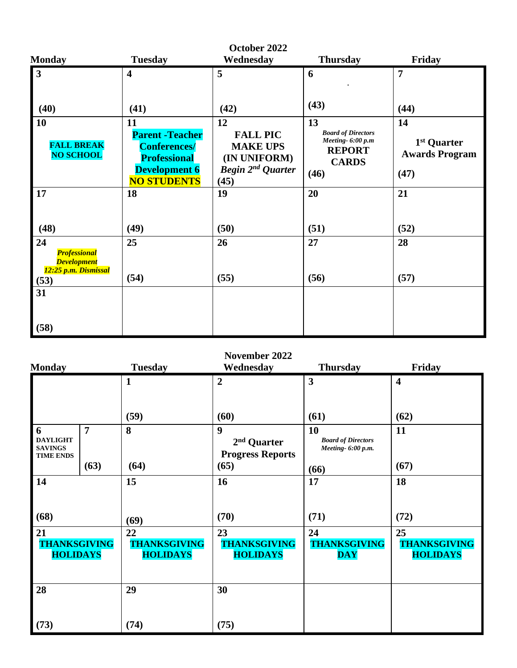| <b>Monday</b>                                                                   | <b>Tuesday</b>                                                                                                            | October 2022<br>Wednesday                                                                  | <b>Thursday</b>                                                                              | Friday                                                         |
|---------------------------------------------------------------------------------|---------------------------------------------------------------------------------------------------------------------------|--------------------------------------------------------------------------------------------|----------------------------------------------------------------------------------------------|----------------------------------------------------------------|
| $\mathbf{3}$                                                                    | $\overline{\mathbf{4}}$                                                                                                   | 5                                                                                          | 6                                                                                            | $\overline{7}$                                                 |
| (40)                                                                            | (41)                                                                                                                      | (42)                                                                                       | (43)                                                                                         | (44)                                                           |
| 10<br><b>FALL BREAK</b><br><b>NO SCHOOL</b>                                     | 11<br><b>Parent - Teacher</b><br><b>Conferences/</b><br><b>Professional</b><br><b>Development 6</b><br><b>NO STUDENTS</b> | 12<br><b>FALL PIC</b><br><b>MAKE UPS</b><br>(IN UNIFORM)<br>Begin $2^{nd}$ Quarter<br>(45) | 13<br><b>Board of Directors</b><br>Meeting-6:00 p.m<br><b>REPORT</b><br><b>CARDS</b><br>(46) | 14<br>1 <sup>st</sup> Quarter<br><b>Awards Program</b><br>(47) |
| 17<br>(48)                                                                      | 18<br>(49)                                                                                                                | 19<br>(50)                                                                                 | 20<br>(51)                                                                                   | 21<br>(52)                                                     |
| 24<br><b>Professional</b><br><b>Development</b><br>12:25 p.m. Dismissal<br>(53) | 25<br>(54)                                                                                                                | 26<br>(55)                                                                                 | 27<br>(56)                                                                                   | 28<br>(57)                                                     |
| 31<br>(58)                                                                      |                                                                                                                           |                                                                                            |                                                                                              |                                                                |

## **November 2022**

| <b>Monday</b>                                              |                | <b>Tuesday</b>                               | Wednesday                                                              | <b>Thursday</b>                                       | Friday                                       |
|------------------------------------------------------------|----------------|----------------------------------------------|------------------------------------------------------------------------|-------------------------------------------------------|----------------------------------------------|
|                                                            |                | 1                                            | $\overline{2}$                                                         | $\overline{\mathbf{3}}$                               | $\overline{\mathbf{4}}$                      |
|                                                            |                | (59)                                         | (60)                                                                   | (61)                                                  | (62)                                         |
| 6<br><b>DAYLIGHT</b><br><b>SAVINGS</b><br><b>TIME ENDS</b> | $\overline{7}$ | 8                                            | $\boldsymbol{9}$<br>2 <sup>nd</sup> Quarter<br><b>Progress Reports</b> | 10<br><b>Board of Directors</b><br>Meeting- 6:00 p.m. | 11                                           |
|                                                            | (63)           | (64)                                         | (65)                                                                   | (66)                                                  | (67)                                         |
| 14                                                         |                | 15                                           | 16                                                                     | 17                                                    | 18                                           |
| (68)                                                       |                | (69)                                         | (70)                                                                   | (71)                                                  | (72)                                         |
| 21<br><b>THANKSGIVING</b><br><b>HOLIDAYS</b>               |                | 22<br><b>THANKSGIVING</b><br><b>HOLIDAYS</b> | 23<br><b>THANKSGIVING</b><br><b>HOLIDAYS</b>                           | 24<br><b>THANKSGIVING</b><br><b>DAY</b>               | 25<br><b>THANKSGIVING</b><br><b>HOLIDAYS</b> |
| 28                                                         |                | 29                                           | 30                                                                     |                                                       |                                              |
| (73)                                                       |                | (74)                                         | (75)                                                                   |                                                       |                                              |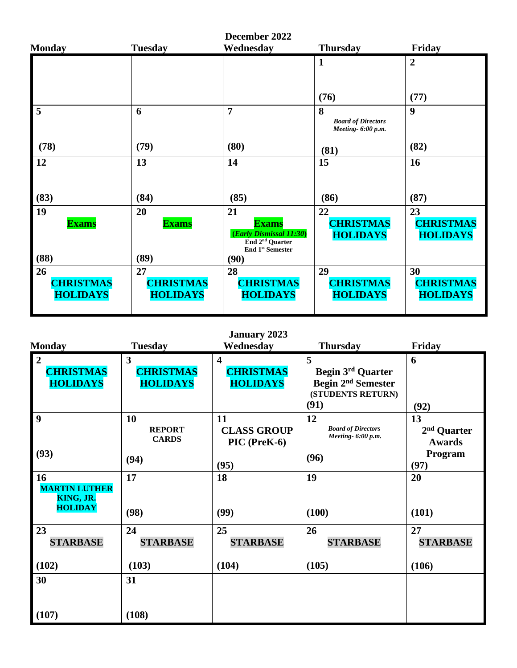| <b>Monday</b>                       | <b>Tuesday</b>                      | December 2022<br>Wednesday                                                                                   | <b>Thursday</b>                           | Friday                                    |
|-------------------------------------|-------------------------------------|--------------------------------------------------------------------------------------------------------------|-------------------------------------------|-------------------------------------------|
|                                     |                                     |                                                                                                              | $\mathbf{1}$                              | $\overline{2}$                            |
|                                     |                                     |                                                                                                              | (76)                                      | (77)                                      |
| 5                                   | 6                                   | $\overline{7}$                                                                                               | 8<br><b>Board of Directors</b>            | $\boldsymbol{9}$                          |
| (78)                                | (79)                                | (80)                                                                                                         | Meeting-6:00 p.m.<br>(81)                 | (82)                                      |
| 12                                  | 13                                  | 14                                                                                                           | 15                                        | 16                                        |
| (83)                                | (84)                                | (85)                                                                                                         | (86)                                      | (87)                                      |
| 19<br><b>Exams</b>                  | 20<br><b>Exams</b>                  | 21<br><b>Exams</b><br>(Early Dismissal 11:30)<br>End 2 <sup>nd</sup> Quarter<br>End 1 <sup>st</sup> Semester | 22<br><b>CHRISTMAS</b><br><b>HOLIDAYS</b> | 23<br><b>CHRISTMAS</b><br><b>HOLIDAYS</b> |
| (88)<br>26                          | (89)<br>27                          | (90)<br>28                                                                                                   | 29                                        | 30                                        |
| <b>CHRISTMAS</b><br><b>HOLIDAYS</b> | <b>CHRISTMAS</b><br><b>HOLIDAYS</b> | <b>CHRISTMAS</b><br><b>HOLIDAYS</b>                                                                          | <b>CHRISTMAS</b><br><b>HOLIDAYS</b>       | <b>CHRISTMAS</b><br><b>HOLIDAYS</b>       |

|                            |                               | <b>January 2023</b>     |                                                 |                 |
|----------------------------|-------------------------------|-------------------------|-------------------------------------------------|-----------------|
| <b>Monday</b>              | <b>Tuesday</b>                | Wednesday               | <b>Thursday</b>                                 | Friday          |
| $\overline{2}$             | 3                             | $\overline{\mathbf{4}}$ | 5                                               | 6               |
| <b>CHRISTMAS</b>           | <b>CHRISTMAS</b>              | <b>CHRISTMAS</b>        | <b>Begin 3rd Quarter</b>                        |                 |
| <b>HOLIDAYS</b>            | <b>HOLIDAYS</b>               | <b>HOLIDAYS</b>         | Begin 2 <sup>nd</sup> Semester                  |                 |
|                            |                               |                         | (STUDENTS RETURN)                               |                 |
|                            |                               |                         | (91)                                            | (92)            |
| 9                          | 10                            | 11                      | 12                                              | 13              |
|                            | <b>REPORT</b><br><b>CARDS</b> | <b>CLASS GROUP</b>      | <b>Board of Directors</b><br>Meeting- 6:00 p.m. | $2nd$ Quarter   |
|                            |                               | PIC (PreK-6)            |                                                 | <b>Awards</b>   |
| (93)                       | (94)                          |                         | (96)                                            | Program         |
|                            |                               | (95)                    |                                                 | (97)            |
| 16<br><b>MARTIN LUTHER</b> | 17                            | 18                      | 19                                              | 20              |
| KING, JR.                  |                               |                         |                                                 |                 |
| <b>HOLIDAY</b>             | (98)                          | (99)                    | (100)                                           | (101)           |
|                            |                               |                         |                                                 |                 |
| 23                         | 24                            | 25                      | 26                                              | 27              |
| <b>STARBASE</b>            | <b>STARBASE</b>               | <b>STARBASE</b>         | <b>STARBASE</b>                                 | <b>STARBASE</b> |
|                            |                               |                         |                                                 |                 |
| (102)                      | (103)                         | (104)                   | (105)                                           | (106)           |
| 30                         | 31                            |                         |                                                 |                 |
|                            |                               |                         |                                                 |                 |
|                            |                               |                         |                                                 |                 |
| (107)                      | (108)                         |                         |                                                 |                 |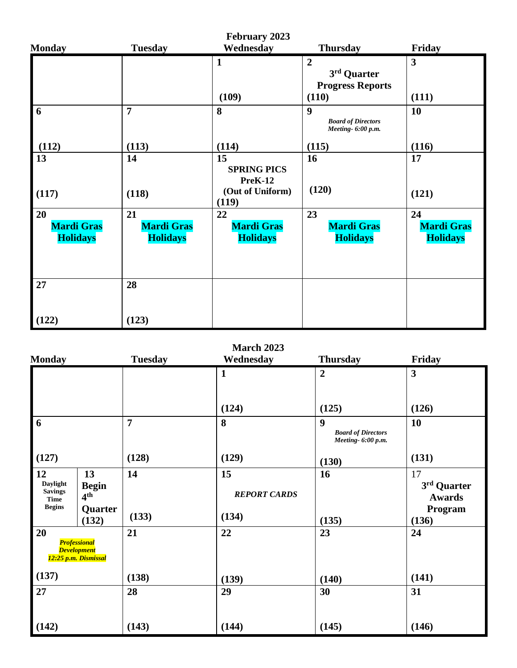| <b>February 2023</b>                       |                                            |                                                                  |                                                                   |                                            |  |
|--------------------------------------------|--------------------------------------------|------------------------------------------------------------------|-------------------------------------------------------------------|--------------------------------------------|--|
| <b>Monday</b>                              | <b>Tuesday</b>                             | Wednesday                                                        | <b>Thursday</b>                                                   | Friday                                     |  |
|                                            |                                            | $\mathbf{1}$<br>(109)                                            | $\overline{2}$<br>3rd Quarter<br><b>Progress Reports</b><br>(110) | $\mathbf{3}$<br>(111)                      |  |
| 6                                          | $\overline{7}$                             | 8                                                                | 9<br><b>Board of Directors</b><br>Meeting- 6:00 p.m.              | 10                                         |  |
| (112)                                      | (113)                                      | (114)                                                            | (115)                                                             | (116)                                      |  |
| 13<br>(117)                                | 14<br>(118)                                | 15<br><b>SPRING PICS</b><br>PreK-12<br>(Out of Uniform)<br>(119) | 16<br>(120)                                                       | 17<br>(121)                                |  |
| 20<br><b>Mardi Gras</b><br><b>Holidays</b> | 21<br><b>Mardi Gras</b><br><b>Holidays</b> | 22<br><b>Mardi Gras</b><br><b>Holidays</b>                       | 23<br><b>Mardi Gras</b><br><b>Holidays</b>                        | 24<br><b>Mardi Gras</b><br><b>Holidays</b> |  |
| 27                                         | 28                                         |                                                                  |                                                                   |                                            |  |
| (122)                                      | (123)                                      |                                                                  |                                                                   |                                            |  |

| <b>March 2023</b> |  |
|-------------------|--|
|-------------------|--|

| <b>Monday</b>                                   |                                                                   | <b>Tuesday</b> | Wednesday                 | <b>Thursday</b>                                                     | Friday                             |
|-------------------------------------------------|-------------------------------------------------------------------|----------------|---------------------------|---------------------------------------------------------------------|------------------------------------|
|                                                 |                                                                   |                | $\mathbf{1}$              | $\overline{2}$                                                      | $\mathbf{3}$                       |
|                                                 |                                                                   |                | (124)                     | (125)                                                               | (126)                              |
| 6                                               |                                                                   | $\overline{7}$ | 8                         | $\boldsymbol{9}$<br><b>Board of Directors</b><br>Meeting- 6:00 p.m. | 10                                 |
| (127)                                           |                                                                   | (128)          | (129)                     | (130)                                                               | (131)                              |
| 12<br>Daylight<br><b>Savings</b><br><b>Time</b> | 13<br><b>Begin</b><br>4 <sup>th</sup>                             | 14             | 15<br><b>REPORT CARDS</b> | 16                                                                  | 17<br>3rd Quarter<br><b>Awards</b> |
| <b>Begins</b>                                   | Quarter<br>(132)                                                  | (133)          | (134)                     | (135)                                                               | Program<br>(136)                   |
| 20                                              | <b>Professional</b><br><b>Development</b><br>12:25 p.m. Dismissal | 21             | 22                        | 23                                                                  | 24                                 |
| (137)                                           |                                                                   | (138)          | (139)                     | (140)                                                               | (141)                              |
| 27                                              |                                                                   | 28             | 29                        | 30                                                                  | 31                                 |
| (142)                                           |                                                                   | (143)          | (144)                     | (145)                                                               | (146)                              |